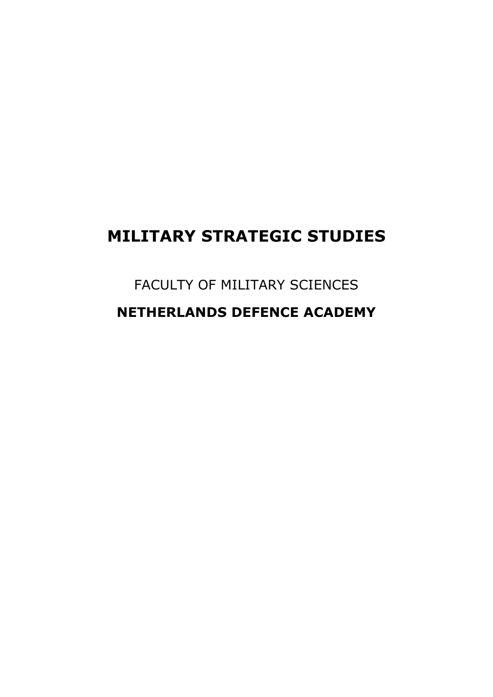# **MILITARY STRATEGIC STUDIES**

FACULTY OF MILITARY SCIENCES **NETHERLANDS DEFENCE ACADEMY**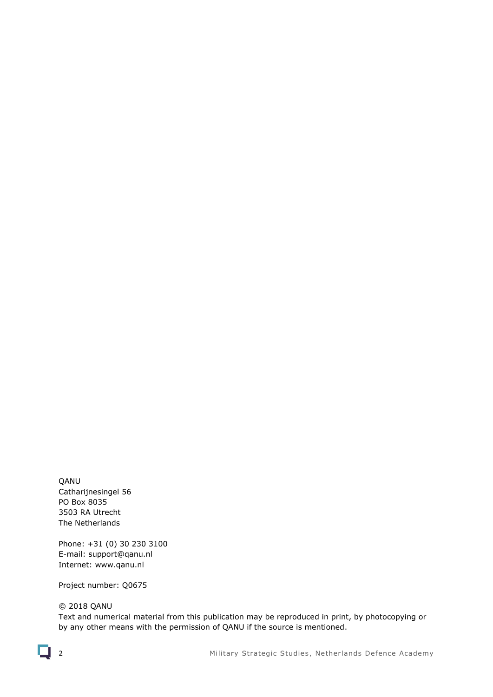QANU Catharijnesingel 56 PO Box 8035 3503 RA Utrecht The Netherlands

Phone: +31 (0) 30 230 3100 E-mail: support@qanu.nl Internet: www.qanu.nl

Project number: Q0675

#### © 2018 QANU

Text and numerical material from this publication may be reproduced in print, by photocopying or by any other means with the permission of QANU if the source is mentioned.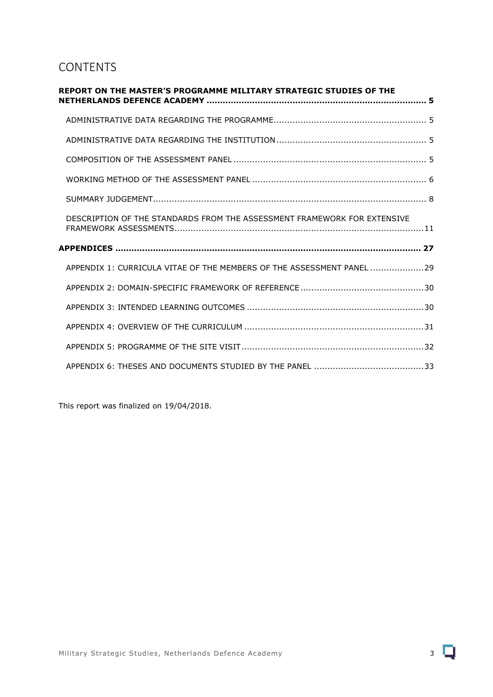## CONTENTS

| REPORT ON THE MASTER'S PROGRAMME MILITARY STRATEGIC STUDIES OF THE       |  |
|--------------------------------------------------------------------------|--|
|                                                                          |  |
|                                                                          |  |
|                                                                          |  |
|                                                                          |  |
|                                                                          |  |
| DESCRIPTION OF THE STANDARDS FROM THE ASSESSMENT FRAMEWORK FOR EXTENSIVE |  |
|                                                                          |  |
| APPENDIX 1: CURRICULA VITAE OF THE MEMBERS OF THE ASSESSMENT PANEL 29    |  |
|                                                                          |  |
|                                                                          |  |
|                                                                          |  |
|                                                                          |  |
|                                                                          |  |

This report was finalized on 19/04/2018.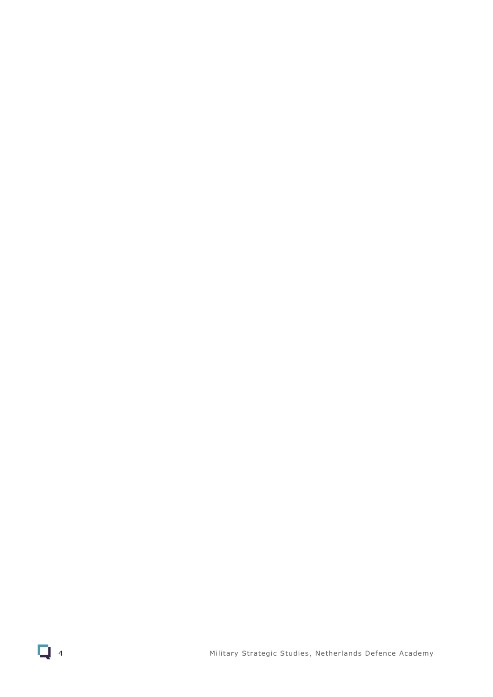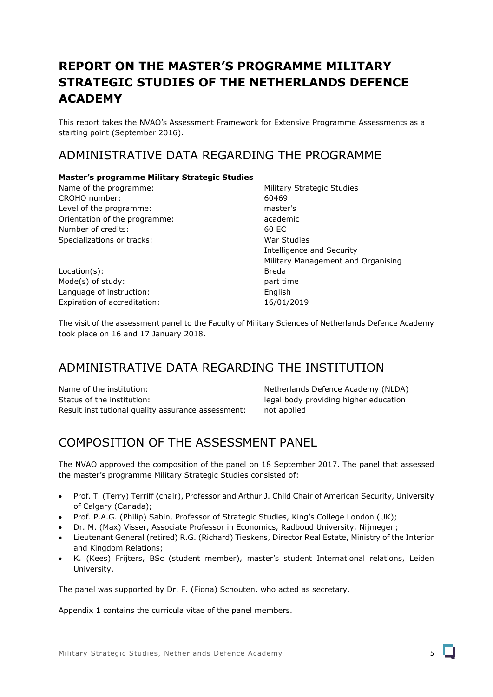## <span id="page-4-0"></span>**REPORT ON THE MASTER'S PROGRAMME MILITARY STRATEGIC STUDIES OF THE NETHERLANDS DEFENCE ACADEMY**

This report takes the NVAO's Assessment Framework for Extensive Programme Assessments as a starting point (September 2016).

## <span id="page-4-1"></span>ADMINISTRATIVE DATA REGARDING THE PROGRAMME

## **Master's programme Military Strategic Studies**

Name of the programme: Military Strategic Studies CROHO number: 60469 Level of the programme: master's Orientation of the programme: academic Number of credits: 60 EC Specializations or tracks: War Studies

Location(s): Breda Mode(s) of study: part time Language of instruction: English Expiration of accreditation: 16/01/2019

Intelligence and Security Military Management and Organising

The visit of the assessment panel to the Faculty of Military Sciences of Netherlands Defence Academy took place on 16 and 17 January 2018.

## <span id="page-4-2"></span>ADMINISTRATIVE DATA REGARDING THE INSTITUTION

Name of the institution: Netherlands Defence Academy (NLDA) Status of the institution: legal body providing higher education Result institutional quality assurance assessment: not applied

## <span id="page-4-3"></span>COMPOSITION OF THE ASSESSMENT PANEL

The NVAO approved the composition of the panel on 18 September 2017. The panel that assessed the master's programme Military Strategic Studies consisted of:

- Prof. T. (Terry) Terriff (chair), Professor and Arthur J. Child Chair of American Security, University of Calgary (Canada);
- Prof. P.A.G. (Philip) Sabin, Professor of Strategic Studies, King's College London (UK);
- Dr. M. (Max) Visser, Associate Professor in Economics, Radboud University, Nijmegen;
- Lieutenant General (retired) R.G. (Richard) Tieskens, Director Real Estate, Ministry of the Interior and Kingdom Relations;
- K. (Kees) Frijters, BSc (student member), master's student International relations, Leiden University.

The panel was supported by Dr. F. (Fiona) Schouten, who acted as secretary.

Appendix 1 contains the curricula vitae of the panel members.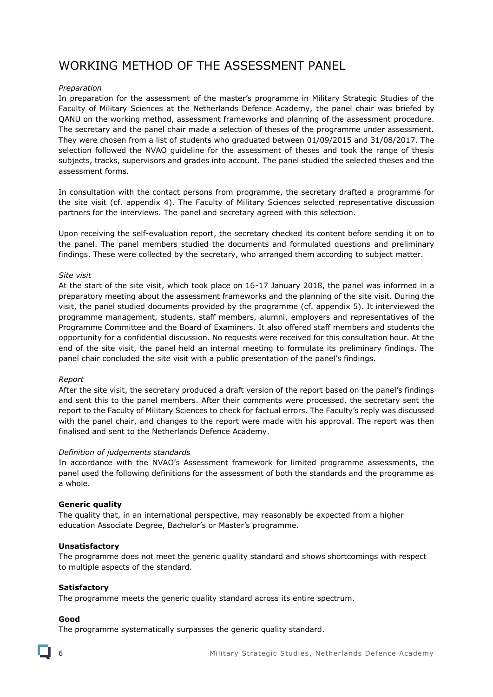## <span id="page-5-0"></span>WORKING METHOD OF THE ASSESSMENT PANEL

## *Preparation*

In preparation for the assessment of the master's programme in Military Strategic Studies of the Faculty of Military Sciences at the Netherlands Defence Academy, the panel chair was briefed by QANU on the working method, assessment frameworks and planning of the assessment procedure. The secretary and the panel chair made a selection of theses of the programme under assessment. They were chosen from a list of students who graduated between 01/09/2015 and 31/08/2017. The selection followed the NVAO guideline for the assessment of theses and took the range of thesis subjects, tracks, supervisors and grades into account. The panel studied the selected theses and the assessment forms.

In consultation with the contact persons from programme, the secretary drafted a programme for the site visit (cf. appendix 4). The Faculty of Military Sciences selected representative discussion partners for the interviews. The panel and secretary agreed with this selection.

Upon receiving the self-evaluation report, the secretary checked its content before sending it on to the panel. The panel members studied the documents and formulated questions and preliminary findings. These were collected by the secretary, who arranged them according to subject matter.

## *Site visit*

At the start of the site visit, which took place on 16-17 January 2018, the panel was informed in a preparatory meeting about the assessment frameworks and the planning of the site visit. During the visit, the panel studied documents provided by the programme (cf. appendix 5). It interviewed the programme management, students, staff members, alumni, employers and representatives of the Programme Committee and the Board of Examiners. It also offered staff members and students the opportunity for a confidential discussion. No requests were received for this consultation hour. At the end of the site visit, the panel held an internal meeting to formulate its preliminary findings. The panel chair concluded the site visit with a public presentation of the panel's findings.

## *Report*

After the site visit, the secretary produced a draft version of the report based on the panel's findings and sent this to the panel members. After their comments were processed, the secretary sent the report to the Faculty of Military Sciences to check for factual errors. The Faculty's reply was discussed with the panel chair, and changes to the report were made with his approval. The report was then finalised and sent to the Netherlands Defence Academy.

## *Definition of judgements standards*

In accordance with the NVAO's Assessment framework for limited programme assessments, the panel used the following definitions for the assessment of both the standards and the programme as a whole.

## **Generic quality**

The quality that, in an international perspective, may reasonably be expected from a higher education Associate Degree, Bachelor's or Master's programme.

## **Unsatisfactory**

The programme does not meet the generic quality standard and shows shortcomings with respect to multiple aspects of the standard.

## **Satisfactory**

The programme meets the generic quality standard across its entire spectrum.

## **Good**

The programme systematically surpasses the generic quality standard.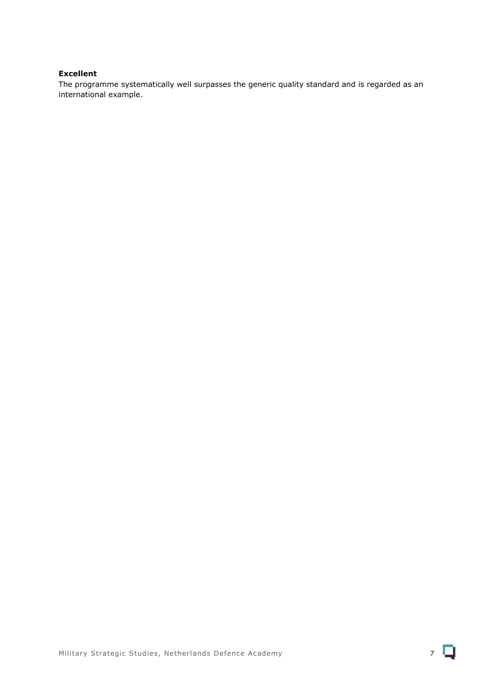## **Excellent**

The programme systematically well surpasses the generic quality standard and is regarded as an international example.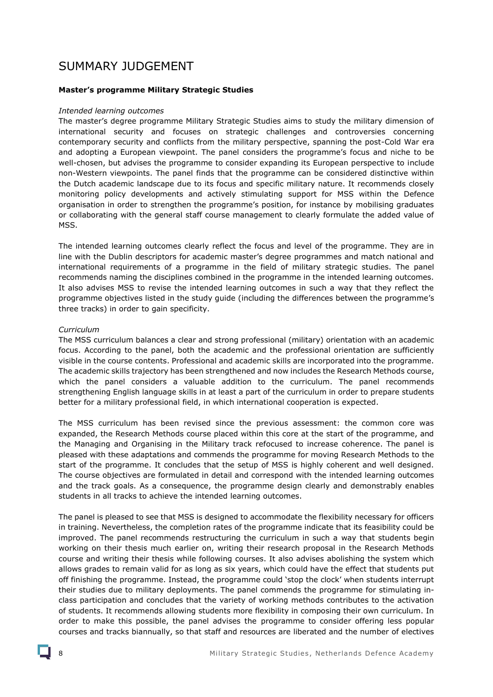## <span id="page-7-0"></span>SUMMARY JUDGEMENT

## **Master's programme Military Strategic Studies**

#### *Intended learning outcomes*

The master's degree programme Military Strategic Studies aims to study the military dimension of international security and focuses on strategic challenges and controversies concerning contemporary security and conflicts from the military perspective, spanning the post-Cold War era and adopting a European viewpoint. The panel considers the programme's focus and niche to be well-chosen, but advises the programme to consider expanding its European perspective to include non-Western viewpoints. The panel finds that the programme can be considered distinctive within the Dutch academic landscape due to its focus and specific military nature. It recommends closely monitoring policy developments and actively stimulating support for MSS within the Defence organisation in order to strengthen the programme's position, for instance by mobilising graduates or collaborating with the general staff course management to clearly formulate the added value of MSS.

The intended learning outcomes clearly reflect the focus and level of the programme. They are in line with the Dublin descriptors for academic master's degree programmes and match national and international requirements of a programme in the field of military strategic studies. The panel recommends naming the disciplines combined in the programme in the intended learning outcomes. It also advises MSS to revise the intended learning outcomes in such a way that they reflect the programme objectives listed in the study guide (including the differences between the programme's three tracks) in order to gain specificity.

## *Curriculum*

The MSS curriculum balances a clear and strong professional (military) orientation with an academic focus. According to the panel, both the academic and the professional orientation are sufficiently visible in the course contents. Professional and academic skills are incorporated into the programme. The academic skills trajectory has been strengthened and now includes the Research Methods course, which the panel considers a valuable addition to the curriculum. The panel recommends strengthening English language skills in at least a part of the curriculum in order to prepare students better for a military professional field, in which international cooperation is expected.

The MSS curriculum has been revised since the previous assessment: the common core was expanded, the Research Methods course placed within this core at the start of the programme, and the Managing and Organising in the Military track refocused to increase coherence. The panel is pleased with these adaptations and commends the programme for moving Research Methods to the start of the programme. It concludes that the setup of MSS is highly coherent and well designed. The course objectives are formulated in detail and correspond with the intended learning outcomes and the track goals. As a consequence, the programme design clearly and demonstrably enables students in all tracks to achieve the intended learning outcomes.

The panel is pleased to see that MSS is designed to accommodate the flexibility necessary for officers in training. Nevertheless, the completion rates of the programme indicate that its feasibility could be improved. The panel recommends restructuring the curriculum in such a way that students begin working on their thesis much earlier on, writing their research proposal in the Research Methods course and writing their thesis while following courses. It also advises abolishing the system which allows grades to remain valid for as long as six years, which could have the effect that students put off finishing the programme. Instead, the programme could 'stop the clock' when students interrupt their studies due to military deployments. The panel commends the programme for stimulating inclass participation and concludes that the variety of working methods contributes to the activation of students. It recommends allowing students more flexibility in composing their own curriculum. In order to make this possible, the panel advises the programme to consider offering less popular courses and tracks biannually, so that staff and resources are liberated and the number of electives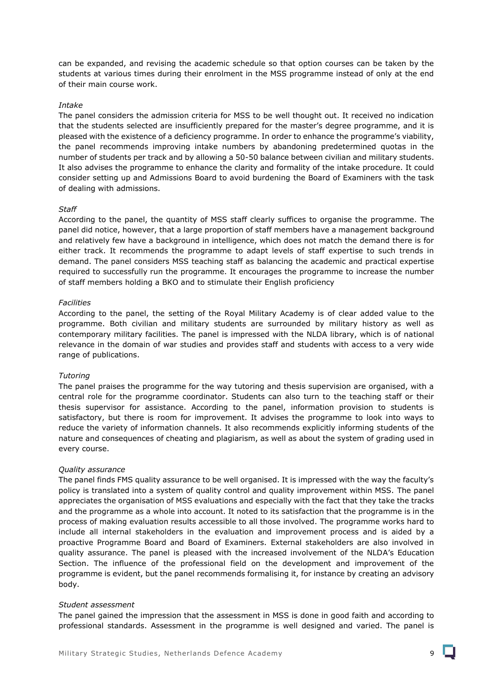can be expanded, and revising the academic schedule so that option courses can be taken by the students at various times during their enrolment in the MSS programme instead of only at the end of their main course work.

### *Intake*

The panel considers the admission criteria for MSS to be well thought out. It received no indication that the students selected are insufficiently prepared for the master's degree programme, and it is pleased with the existence of a deficiency programme. In order to enhance the programme's viability, the panel recommends improving intake numbers by abandoning predetermined quotas in the number of students per track and by allowing a 50-50 balance between civilian and military students. It also advises the programme to enhance the clarity and formality of the intake procedure. It could consider setting up and Admissions Board to avoid burdening the Board of Examiners with the task of dealing with admissions.

#### *Staff*

According to the panel, the quantity of MSS staff clearly suffices to organise the programme. The panel did notice, however, that a large proportion of staff members have a management background and relatively few have a background in intelligence, which does not match the demand there is for either track. It recommends the programme to adapt levels of staff expertise to such trends in demand. The panel considers MSS teaching staff as balancing the academic and practical expertise required to successfully run the programme. It encourages the programme to increase the number of staff members holding a BKO and to stimulate their English proficiency

#### *Facilities*

According to the panel, the setting of the Royal Military Academy is of clear added value to the programme. Both civilian and military students are surrounded by military history as well as contemporary military facilities. The panel is impressed with the NLDA library, which is of national relevance in the domain of war studies and provides staff and students with access to a very wide range of publications.

#### *Tutoring*

The panel praises the programme for the way tutoring and thesis supervision are organised, with a central role for the programme coordinator. Students can also turn to the teaching staff or their thesis supervisor for assistance. According to the panel, information provision to students is satisfactory, but there is room for improvement. It advises the programme to look into ways to reduce the variety of information channels. It also recommends explicitly informing students of the nature and consequences of cheating and plagiarism, as well as about the system of grading used in every course.

#### *Quality assurance*

The panel finds FMS quality assurance to be well organised. It is impressed with the way the faculty's policy is translated into a system of quality control and quality improvement within MSS. The panel appreciates the organisation of MSS evaluations and especially with the fact that they take the tracks and the programme as a whole into account. It noted to its satisfaction that the programme is in the process of making evaluation results accessible to all those involved. The programme works hard to include all internal stakeholders in the evaluation and improvement process and is aided by a proactive Programme Board and Board of Examiners. External stakeholders are also involved in quality assurance. The panel is pleased with the increased involvement of the NLDA's Education Section. The influence of the professional field on the development and improvement of the programme is evident, but the panel recommends formalising it, for instance by creating an advisory body.

#### *Student assessment*

The panel gained the impression that the assessment in MSS is done in good faith and according to professional standards. Assessment in the programme is well designed and varied. The panel is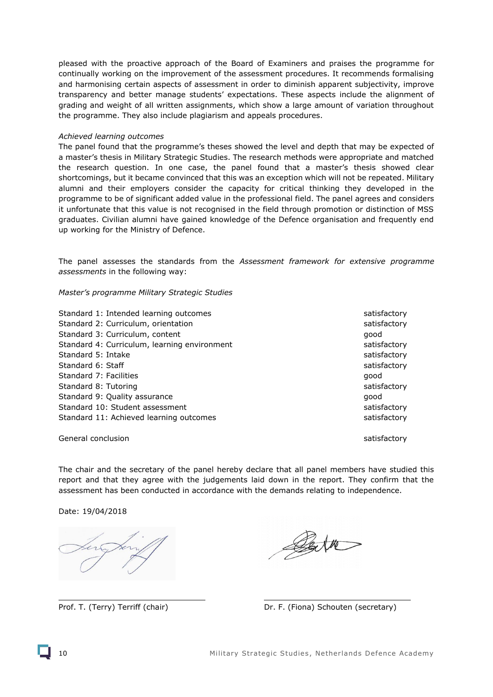pleased with the proactive approach of the Board of Examiners and praises the programme for continually working on the improvement of the assessment procedures. It recommends formalising and harmonising certain aspects of assessment in order to diminish apparent subjectivity, improve transparency and better manage students' expectations. These aspects include the alignment of grading and weight of all written assignments, which show a large amount of variation throughout the programme. They also include plagiarism and appeals procedures.

## *Achieved learning outcomes*

The panel found that the programme's theses showed the level and depth that may be expected of a master's thesis in Military Strategic Studies. The research methods were appropriate and matched the research question. In one case, the panel found that a master's thesis showed clear shortcomings, but it became convinced that this was an exception which will not be repeated. Military alumni and their employers consider the capacity for critical thinking they developed in the programme to be of significant added value in the professional field. The panel agrees and considers it unfortunate that this value is not recognised in the field through promotion or distinction of MSS graduates. Civilian alumni have gained knowledge of the Defence organisation and frequently end up working for the Ministry of Defence.

The panel assesses the standards from the *Assessment framework for extensive programme assessments* in the following way:

## *Master's programme Military Strategic Studies*

Standard 1: Intended learning outcomes satisfactory satisfactory Standard 2: Curriculum, orientation satisfactory satisfactory Standard 3: Curriculum, content good Standard 4: Curriculum, learning environment satisfactory satisfactory Standard 5: Intake satisfactory satisfactory Standard 6: Staff satisfactory and standard satisfactory satisfactory satisfactory Standard 7: Facilities and the standard 1. Standard 1. The standard 1. Standard 1. Standard 1. Standard 1. Standard 1. Standard 1. Standard 1. Standard 1. Standard 1. Standard 1. Standard 1. Standard 1. Standard 1. Standar Standard 8: Tutoring satisfactory satisfactory Standard 9: Quality assurance good Standard 10: Student assessment satisfactory satisfactory Standard 11: Achieved learning outcomes satisfactory satisfactory

General conclusion satisfactory satisfactory satisfactory

The chair and the secretary of the panel hereby declare that all panel members have studied this report and that they agree with the judgements laid down in the report. They confirm that the assessment has been conducted in accordance with the demands relating to independence.

Date: 19/04/2018

De tre

Prof. T. (Terry) Terriff (chair) Dr. F. (Fiona) Schouten (secretary)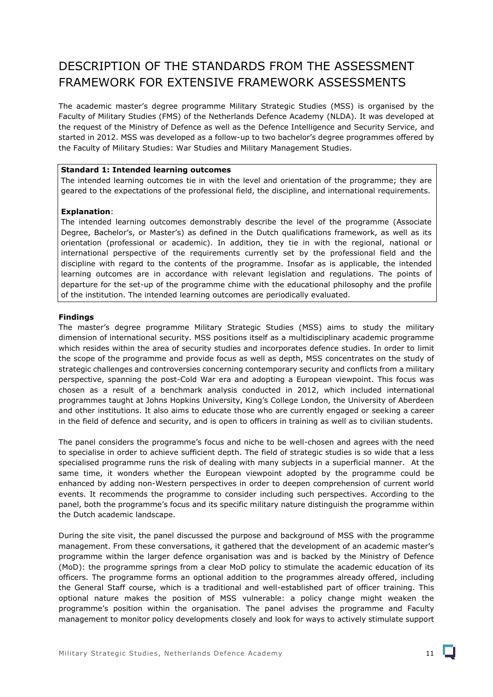## <span id="page-10-0"></span>DESCRIPTION OF THE STANDARDS FROM THE ASSESSMENT FRAMEWORK FOR EXTENSIVE FRAMEWORK ASSESSMENTS

The academic master's degree programme Military Strategic Studies (MSS) is organised by the Faculty of Military Studies (FMS) of the Netherlands Defence Academy (NLDA). It was developed at the request of the Ministry of Defence as well as the Defence Intelligence and Security Service, and started in 2012. MSS was developed as a follow-up to two bachelor's degree programmes offered by the Faculty of Military Studies: War Studies and Military Management Studies.

## **Standard 1: Intended learning outcomes**

The intended learning outcomes tie in with the level and orientation of the programme; they are geared to the expectations of the professional field, the discipline, and international requirements.

## **Explanation**:

The intended learning outcomes demonstrably describe the level of the programme (Associate Degree, Bachelor's, or Master's) as defined in the Dutch qualifications framework, as well as its orientation (professional or academic). In addition, they tie in with the regional, national or international perspective of the requirements currently set by the professional field and the discipline with regard to the contents of the programme. Insofar as is applicable, the intended learning outcomes are in accordance with relevant legislation and regulations. The points of departure for the set-up of the programme chime with the educational philosophy and the profile of the institution. The intended learning outcomes are periodically evaluated.

## **Findings**

The master's degree programme Military Strategic Studies (MSS) aims to study the military dimension of international security. MSS positions itself as a multidisciplinary academic programme which resides within the area of security studies and incorporates defence studies. In order to limit the scope of the programme and provide focus as well as depth, MSS concentrates on the study of strategic challenges and controversies concerning contemporary security and conflicts from a military perspective, spanning the post-Cold War era and adopting a European viewpoint. This focus was chosen as a result of a benchmark analysis conducted in 2012, which included international programmes taught at Johns Hopkins University, King's College London, the University of Aberdeen and other institutions. It also aims to educate those who are currently engaged or seeking a career in the field of defence and security, and is open to officers in training as well as to civilian students.

The panel considers the programme's focus and niche to be well-chosen and agrees with the need to specialise in order to achieve sufficient depth. The field of strategic studies is so wide that a less specialised programme runs the risk of dealing with many subjects in a superficial manner. At the same time, it wonders whether the European viewpoint adopted by the programme could be enhanced by adding non-Western perspectives in order to deepen comprehension of current world events. It recommends the programme to consider including such perspectives. According to the panel, both the programme's focus and its specific military nature distinguish the programme within the Dutch academic landscape.

During the site visit, the panel discussed the purpose and background of MSS with the programme management. From these conversations, it gathered that the development of an academic master's programme within the larger defence organisation was and is backed by the Ministry of Defence (MoD): the programme springs from a clear MoD policy to stimulate the academic education of its officers. The programme forms an optional addition to the programmes already offered, including the General Staff course, which is a traditional and well-established part of officer training. This optional nature makes the position of MSS vulnerable: a policy change might weaken the programme's position within the organisation. The panel advises the programme and Faculty management to monitor policy developments closely and look for ways to actively stimulate support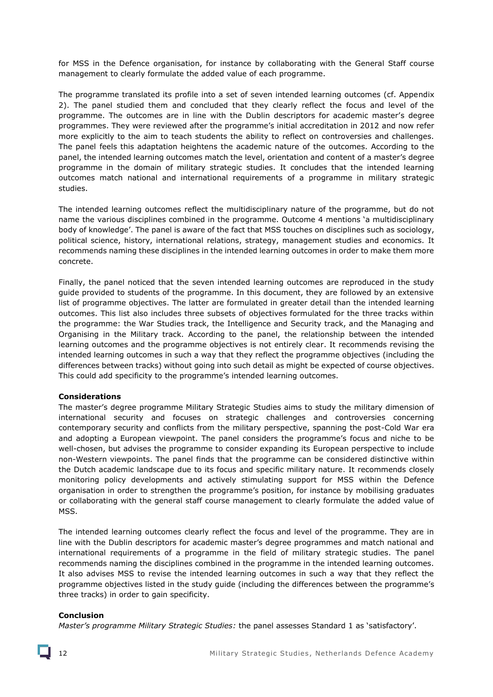for MSS in the Defence organisation, for instance by collaborating with the General Staff course management to clearly formulate the added value of each programme.

The programme translated its profile into a set of seven intended learning outcomes (cf. Appendix 2). The panel studied them and concluded that they clearly reflect the focus and level of the programme. The outcomes are in line with the Dublin descriptors for academic master's degree programmes. They were reviewed after the programme's initial accreditation in 2012 and now refer more explicitly to the aim to teach students the ability to reflect on controversies and challenges. The panel feels this adaptation heightens the academic nature of the outcomes. According to the panel, the intended learning outcomes match the level, orientation and content of a master's degree programme in the domain of military strategic studies. It concludes that the intended learning outcomes match national and international requirements of a programme in military strategic studies.

The intended learning outcomes reflect the multidisciplinary nature of the programme, but do not name the various disciplines combined in the programme. Outcome 4 mentions 'a multidisciplinary body of knowledge'. The panel is aware of the fact that MSS touches on disciplines such as sociology, political science, history, international relations, strategy, management studies and economics. It recommends naming these disciplines in the intended learning outcomes in order to make them more concrete.

Finally, the panel noticed that the seven intended learning outcomes are reproduced in the study guide provided to students of the programme. In this document, they are followed by an extensive list of programme objectives. The latter are formulated in greater detail than the intended learning outcomes. This list also includes three subsets of objectives formulated for the three tracks within the programme: the War Studies track, the Intelligence and Security track, and the Managing and Organising in the Military track. According to the panel, the relationship between the intended learning outcomes and the programme objectives is not entirely clear. It recommends revising the intended learning outcomes in such a way that they reflect the programme objectives (including the differences between tracks) without going into such detail as might be expected of course objectives. This could add specificity to the programme's intended learning outcomes.

## **Considerations**

The master's degree programme Military Strategic Studies aims to study the military dimension of international security and focuses on strategic challenges and controversies concerning contemporary security and conflicts from the military perspective, spanning the post-Cold War era and adopting a European viewpoint. The panel considers the programme's focus and niche to be well-chosen, but advises the programme to consider expanding its European perspective to include non-Western viewpoints. The panel finds that the programme can be considered distinctive within the Dutch academic landscape due to its focus and specific military nature. It recommends closely monitoring policy developments and actively stimulating support for MSS within the Defence organisation in order to strengthen the programme's position, for instance by mobilising graduates or collaborating with the general staff course management to clearly formulate the added value of MSS.

The intended learning outcomes clearly reflect the focus and level of the programme. They are in line with the Dublin descriptors for academic master's degree programmes and match national and international requirements of a programme in the field of military strategic studies. The panel recommends naming the disciplines combined in the programme in the intended learning outcomes. It also advises MSS to revise the intended learning outcomes in such a way that they reflect the programme objectives listed in the study guide (including the differences between the programme's three tracks) in order to gain specificity.

## **Conclusion**

*Master's programme Military Strategic Studies:* the panel assesses Standard 1 as 'satisfactory'.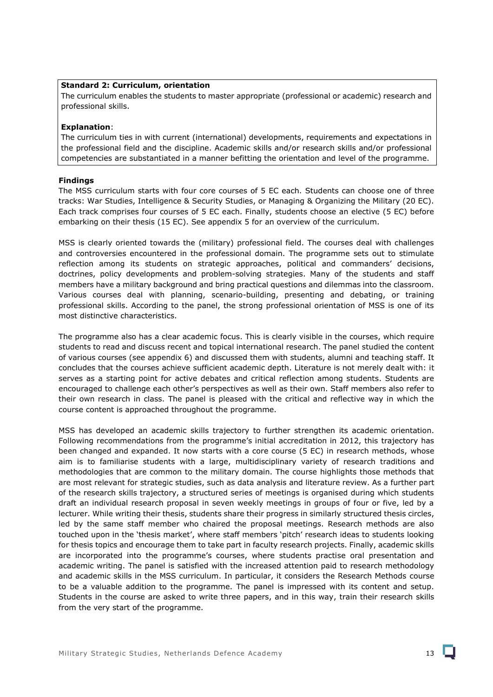## **Standard 2: Curriculum, orientation**

The curriculum enables the students to master appropriate (professional or academic) research and professional skills.

## **Explanation**:

The curriculum ties in with current (international) developments, requirements and expectations in the professional field and the discipline. Academic skills and/or research skills and/or professional competencies are substantiated in a manner befitting the orientation and level of the programme.

## **Findings**

The MSS curriculum starts with four core courses of 5 EC each. Students can choose one of three tracks: War Studies, Intelligence & Security Studies, or Managing & Organizing the Military (20 EC). Each track comprises four courses of 5 EC each. Finally, students choose an elective (5 EC) before embarking on their thesis (15 EC). See appendix 5 for an overview of the curriculum.

MSS is clearly oriented towards the (military) professional field. The courses deal with challenges and controversies encountered in the professional domain. The programme sets out to stimulate reflection among its students on strategic approaches, political and commanders' decisions, doctrines, policy developments and problem-solving strategies. Many of the students and staff members have a military background and bring practical questions and dilemmas into the classroom. Various courses deal with planning, scenario-building, presenting and debating, or training professional skills. According to the panel, the strong professional orientation of MSS is one of its most distinctive characteristics.

The programme also has a clear academic focus. This is clearly visible in the courses, which require students to read and discuss recent and topical international research. The panel studied the content of various courses (see appendix 6) and discussed them with students, alumni and teaching staff. It concludes that the courses achieve sufficient academic depth. Literature is not merely dealt with: it serves as a starting point for active debates and critical reflection among students. Students are encouraged to challenge each other's perspectives as well as their own. Staff members also refer to their own research in class. The panel is pleased with the critical and reflective way in which the course content is approached throughout the programme.

MSS has developed an academic skills trajectory to further strengthen its academic orientation. Following recommendations from the programme's initial accreditation in 2012, this trajectory has been changed and expanded. It now starts with a core course (5 EC) in research methods, whose aim is to familiarise students with a large, multidisciplinary variety of research traditions and methodologies that are common to the military domain. The course highlights those methods that are most relevant for strategic studies, such as data analysis and literature review. As a further part of the research skills trajectory, a structured series of meetings is organised during which students draft an individual research proposal in seven weekly meetings in groups of four or five, led by a lecturer. While writing their thesis, students share their progress in similarly structured thesis circles, led by the same staff member who chaired the proposal meetings. Research methods are also touched upon in the 'thesis market', where staff members 'pitch' research ideas to students looking for thesis topics and encourage them to take part in faculty research projects. Finally, academic skills are incorporated into the programme's courses, where students practise oral presentation and academic writing. The panel is satisfied with the increased attention paid to research methodology and academic skills in the MSS curriculum. In particular, it considers the Research Methods course to be a valuable addition to the programme. The panel is impressed with its content and setup. Students in the course are asked to write three papers, and in this way, train their research skills from the very start of the programme.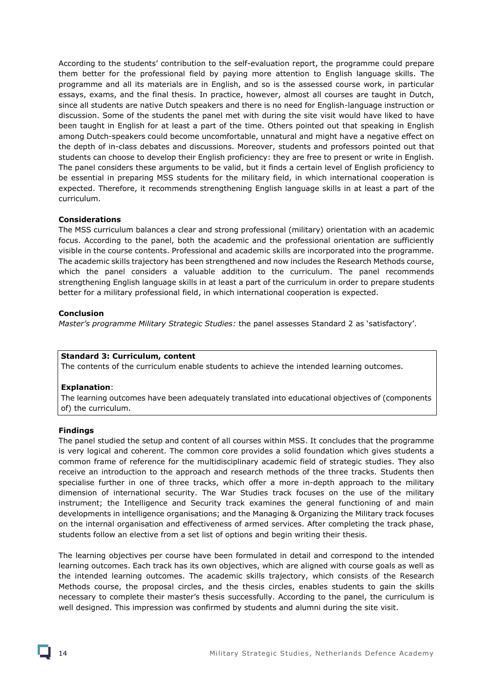According to the students' contribution to the self-evaluation report, the programme could prepare them better for the professional field by paying more attention to English language skills. The programme and all its materials are in English, and so is the assessed course work, in particular essays, exams, and the final thesis. In practice, however, almost all courses are taught in Dutch, since all students are native Dutch speakers and there is no need for English-language instruction or discussion. Some of the students the panel met with during the site visit would have liked to have been taught in English for at least a part of the time. Others pointed out that speaking in English among Dutch-speakers could become uncomfortable, unnatural and might have a negative effect on the depth of in-class debates and discussions. Moreover, students and professors pointed out that students can choose to develop their English proficiency: they are free to present or write in English. The panel considers these arguments to be valid, but it finds a certain level of English proficiency to be essential in preparing MSS students for the military field, in which international cooperation is expected. Therefore, it recommends strengthening English language skills in at least a part of the curriculum.

## **Considerations**

The MSS curriculum balances a clear and strong professional (military) orientation with an academic focus. According to the panel, both the academic and the professional orientation are sufficiently visible in the course contents. Professional and academic skills are incorporated into the programme. The academic skills trajectory has been strengthened and now includes the Research Methods course, which the panel considers a valuable addition to the curriculum. The panel recommends strengthening English language skills in at least a part of the curriculum in order to prepare students better for a military professional field, in which international cooperation is expected.

## **Conclusion**

*Master's programme Military Strategic Studies:* the panel assesses Standard 2 as 'satisfactory'.

## **Standard 3: Curriculum, content**

The contents of the curriculum enable students to achieve the intended learning outcomes.

## **Explanation**:

The learning outcomes have been adequately translated into educational objectives of (components of) the curriculum.

## **Findings**

The panel studied the setup and content of all courses within MSS. It concludes that the programme is very logical and coherent. The common core provides a solid foundation which gives students a common frame of reference for the multidisciplinary academic field of strategic studies. They also receive an introduction to the approach and research methods of the three tracks. Students then specialise further in one of three tracks, which offer a more in-depth approach to the military dimension of international security. The War Studies track focuses on the use of the military instrument; the Intelligence and Security track examines the general functioning of and main developments in intelligence organisations; and the Managing & Organizing the Military track focuses on the internal organisation and effectiveness of armed services. After completing the track phase, students follow an elective from a set list of options and begin writing their thesis.

The learning objectives per course have been formulated in detail and correspond to the intended learning outcomes. Each track has its own objectives, which are aligned with course goals as well as the intended learning outcomes. The academic skills trajectory, which consists of the Research Methods course, the proposal circles, and the thesis circles, enables students to gain the skills necessary to complete their master's thesis successfully. According to the panel, the curriculum is well designed. This impression was confirmed by students and alumni during the site visit.

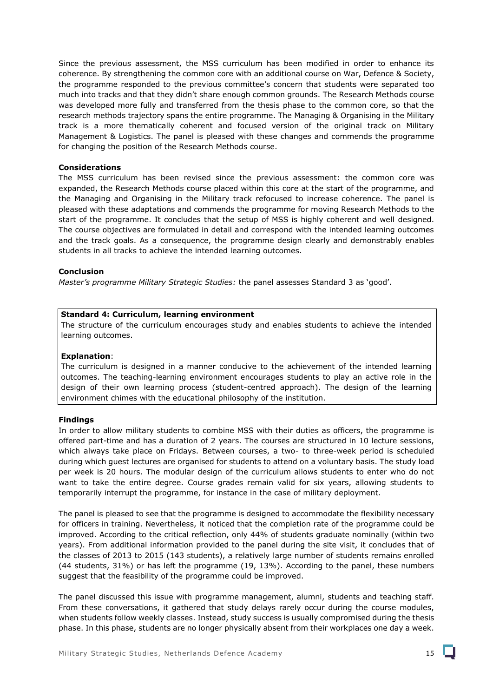Since the previous assessment, the MSS curriculum has been modified in order to enhance its coherence. By strengthening the common core with an additional course on War, Defence & Society, the programme responded to the previous committee's concern that students were separated too much into tracks and that they didn't share enough common grounds. The Research Methods course was developed more fully and transferred from the thesis phase to the common core, so that the research methods trajectory spans the entire programme. The Managing & Organising in the Military track is a more thematically coherent and focused version of the original track on Military Management & Logistics. The panel is pleased with these changes and commends the programme for changing the position of the Research Methods course.

### **Considerations**

The MSS curriculum has been revised since the previous assessment: the common core was expanded, the Research Methods course placed within this core at the start of the programme, and the Managing and Organising in the Military track refocused to increase coherence. The panel is pleased with these adaptations and commends the programme for moving Research Methods to the start of the programme. It concludes that the setup of MSS is highly coherent and well designed. The course objectives are formulated in detail and correspond with the intended learning outcomes and the track goals. As a consequence, the programme design clearly and demonstrably enables students in all tracks to achieve the intended learning outcomes.

#### **Conclusion**

*Master's programme Military Strategic Studies:* the panel assesses Standard 3 as 'good'.

#### **Standard 4: Curriculum, learning environment**

The structure of the curriculum encourages study and enables students to achieve the intended learning outcomes.

#### **Explanation**:

The curriculum is designed in a manner conducive to the achievement of the intended learning outcomes. The teaching-learning environment encourages students to play an active role in the design of their own learning process (student-centred approach). The design of the learning environment chimes with the educational philosophy of the institution.

#### **Findings**

In order to allow military students to combine MSS with their duties as officers, the programme is offered part-time and has a duration of 2 years. The courses are structured in 10 lecture sessions, which always take place on Fridays. Between courses, a two- to three-week period is scheduled during which guest lectures are organised for students to attend on a voluntary basis. The study load per week is 20 hours. The modular design of the curriculum allows students to enter who do not want to take the entire degree. Course grades remain valid for six years, allowing students to temporarily interrupt the programme, for instance in the case of military deployment.

The panel is pleased to see that the programme is designed to accommodate the flexibility necessary for officers in training. Nevertheless, it noticed that the completion rate of the programme could be improved. According to the critical reflection, only 44% of students graduate nominally (within two years). From additional information provided to the panel during the site visit, it concludes that of the classes of 2013 to 2015 (143 students), a relatively large number of students remains enrolled (44 students, 31%) or has left the programme (19, 13%). According to the panel, these numbers suggest that the feasibility of the programme could be improved.

The panel discussed this issue with programme management, alumni, students and teaching staff. From these conversations, it gathered that study delays rarely occur during the course modules, when students follow weekly classes. Instead, study success is usually compromised during the thesis phase. In this phase, students are no longer physically absent from their workplaces one day a week.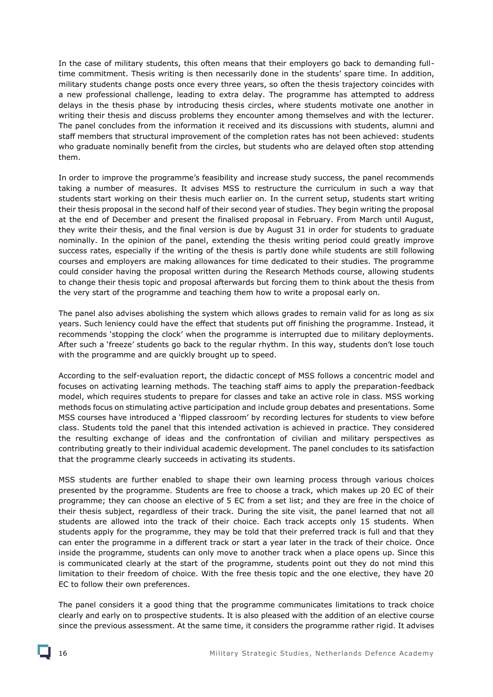In the case of military students, this often means that their employers go back to demanding fulltime commitment. Thesis writing is then necessarily done in the students' spare time. In addition, military students change posts once every three years, so often the thesis trajectory coincides with a new professional challenge, leading to extra delay. The programme has attempted to address delays in the thesis phase by introducing thesis circles, where students motivate one another in writing their thesis and discuss problems they encounter among themselves and with the lecturer. The panel concludes from the information it received and its discussions with students, alumni and staff members that structural improvement of the completion rates has not been achieved: students who graduate nominally benefit from the circles, but students who are delayed often stop attending them.

In order to improve the programme's feasibility and increase study success, the panel recommends taking a number of measures. It advises MSS to restructure the curriculum in such a way that students start working on their thesis much earlier on. In the current setup, students start writing their thesis proposal in the second half of their second year of studies. They begin writing the proposal at the end of December and present the finalised proposal in February. From March until August, they write their thesis, and the final version is due by August 31 in order for students to graduate nominally. In the opinion of the panel, extending the thesis writing period could greatly improve success rates, especially if the writing of the thesis is partly done while students are still following courses and employers are making allowances for time dedicated to their studies. The programme could consider having the proposal written during the Research Methods course, allowing students to change their thesis topic and proposal afterwards but forcing them to think about the thesis from the very start of the programme and teaching them how to write a proposal early on.

The panel also advises abolishing the system which allows grades to remain valid for as long as six years. Such leniency could have the effect that students put off finishing the programme. Instead, it recommends 'stopping the clock' when the programme is interrupted due to military deployments. After such a 'freeze' students go back to the regular rhythm. In this way, students don't lose touch with the programme and are quickly brought up to speed.

According to the self-evaluation report, the didactic concept of MSS follows a concentric model and focuses on activating learning methods. The teaching staff aims to apply the preparation-feedback model, which requires students to prepare for classes and take an active role in class. MSS working methods focus on stimulating active participation and include group debates and presentations. Some MSS courses have introduced a 'flipped classroom' by recording lectures for students to view before class. Students told the panel that this intended activation is achieved in practice. They considered the resulting exchange of ideas and the confrontation of civilian and military perspectives as contributing greatly to their individual academic development. The panel concludes to its satisfaction that the programme clearly succeeds in activating its students.

MSS students are further enabled to shape their own learning process through various choices presented by the programme. Students are free to choose a track, which makes up 20 EC of their programme; they can choose an elective of 5 EC from a set list; and they are free in the choice of their thesis subject, regardless of their track. During the site visit, the panel learned that not all students are allowed into the track of their choice. Each track accepts only 15 students. When students apply for the programme, they may be told that their preferred track is full and that they can enter the programme in a different track or start a year later in the track of their choice. Once inside the programme, students can only move to another track when a place opens up. Since this is communicated clearly at the start of the programme, students point out they do not mind this limitation to their freedom of choice. With the free thesis topic and the one elective, they have 20 EC to follow their own preferences.

The panel considers it a good thing that the programme communicates limitations to track choice clearly and early on to prospective students. It is also pleased with the addition of an elective course since the previous assessment. At the same time, it considers the programme rather rigid. It advises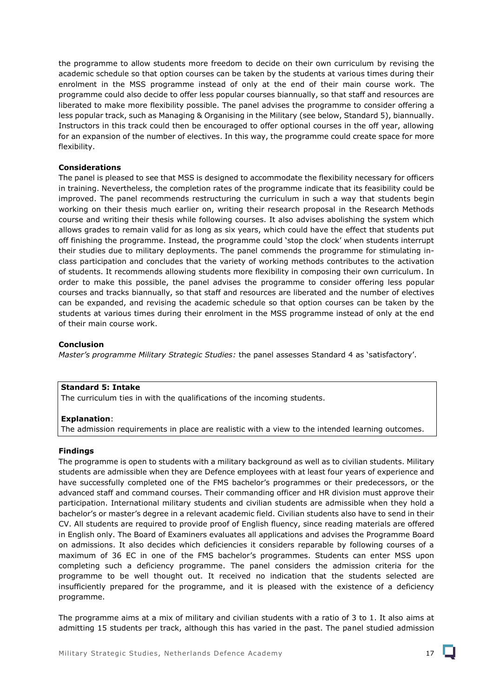the programme to allow students more freedom to decide on their own curriculum by revising the academic schedule so that option courses can be taken by the students at various times during their enrolment in the MSS programme instead of only at the end of their main course work. The programme could also decide to offer less popular courses biannually, so that staff and resources are liberated to make more flexibility possible. The panel advises the programme to consider offering a less popular track, such as Managing & Organising in the Military (see below, Standard 5), biannually. Instructors in this track could then be encouraged to offer optional courses in the off year, allowing for an expansion of the number of electives. In this way, the programme could create space for more flexibility.

## **Considerations**

The panel is pleased to see that MSS is designed to accommodate the flexibility necessary for officers in training. Nevertheless, the completion rates of the programme indicate that its feasibility could be improved. The panel recommends restructuring the curriculum in such a way that students begin working on their thesis much earlier on, writing their research proposal in the Research Methods course and writing their thesis while following courses. It also advises abolishing the system which allows grades to remain valid for as long as six years, which could have the effect that students put off finishing the programme. Instead, the programme could 'stop the clock' when students interrupt their studies due to military deployments. The panel commends the programme for stimulating inclass participation and concludes that the variety of working methods contributes to the activation of students. It recommends allowing students more flexibility in composing their own curriculum. In order to make this possible, the panel advises the programme to consider offering less popular courses and tracks biannually, so that staff and resources are liberated and the number of electives can be expanded, and revising the academic schedule so that option courses can be taken by the students at various times during their enrolment in the MSS programme instead of only at the end of their main course work.

#### **Conclusion**

*Master's programme Military Strategic Studies:* the panel assesses Standard 4 as 'satisfactory'.

#### **Standard 5: Intake**

The curriculum ties in with the qualifications of the incoming students.

## **Explanation**:

The admission requirements in place are realistic with a view to the intended learning outcomes.

#### **Findings**

The programme is open to students with a military background as well as to civilian students. Military students are admissible when they are Defence employees with at least four years of experience and have successfully completed one of the FMS bachelor's programmes or their predecessors, or the advanced staff and command courses. Their commanding officer and HR division must approve their participation. International military students and civilian students are admissible when they hold a bachelor's or master's degree in a relevant academic field. Civilian students also have to send in their CV. All students are required to provide proof of English fluency, since reading materials are offered in English only. The Board of Examiners evaluates all applications and advises the Programme Board on admissions. It also decides which deficiencies it considers reparable by following courses of a maximum of 36 EC in one of the FMS bachelor's programmes. Students can enter MSS upon completing such a deficiency programme. The panel considers the admission criteria for the programme to be well thought out. It received no indication that the students selected are insufficiently prepared for the programme, and it is pleased with the existence of a deficiency programme.

The programme aims at a mix of military and civilian students with a ratio of 3 to 1. It also aims at admitting 15 students per track, although this has varied in the past. The panel studied admission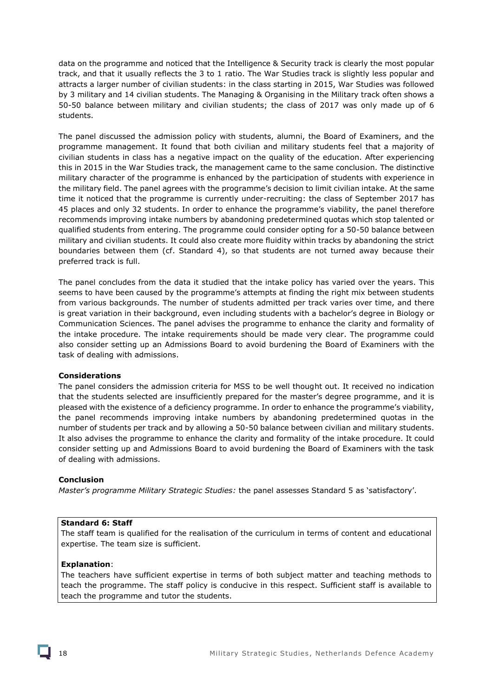data on the programme and noticed that the Intelligence & Security track is clearly the most popular track, and that it usually reflects the 3 to 1 ratio. The War Studies track is slightly less popular and attracts a larger number of civilian students: in the class starting in 2015, War Studies was followed by 3 military and 14 civilian students. The Managing & Organising in the Military track often shows a 50-50 balance between military and civilian students; the class of 2017 was only made up of 6 students.

The panel discussed the admission policy with students, alumni, the Board of Examiners, and the programme management. It found that both civilian and military students feel that a majority of civilian students in class has a negative impact on the quality of the education. After experiencing this in 2015 in the War Studies track, the management came to the same conclusion. The distinctive military character of the programme is enhanced by the participation of students with experience in the military field. The panel agrees with the programme's decision to limit civilian intake. At the same time it noticed that the programme is currently under-recruiting: the class of September 2017 has 45 places and only 32 students. In order to enhance the programme's viability, the panel therefore recommends improving intake numbers by abandoning predetermined quotas which stop talented or qualified students from entering. The programme could consider opting for a 50-50 balance between military and civilian students. It could also create more fluidity within tracks by abandoning the strict boundaries between them (cf. Standard 4), so that students are not turned away because their preferred track is full.

The panel concludes from the data it studied that the intake policy has varied over the years. This seems to have been caused by the programme's attempts at finding the right mix between students from various backgrounds. The number of students admitted per track varies over time, and there is great variation in their background, even including students with a bachelor's degree in Biology or Communication Sciences. The panel advises the programme to enhance the clarity and formality of the intake procedure. The intake requirements should be made very clear. The programme could also consider setting up an Admissions Board to avoid burdening the Board of Examiners with the task of dealing with admissions.

## **Considerations**

The panel considers the admission criteria for MSS to be well thought out. It received no indication that the students selected are insufficiently prepared for the master's degree programme, and it is pleased with the existence of a deficiency programme. In order to enhance the programme's viability, the panel recommends improving intake numbers by abandoning predetermined quotas in the number of students per track and by allowing a 50-50 balance between civilian and military students. It also advises the programme to enhance the clarity and formality of the intake procedure. It could consider setting up and Admissions Board to avoid burdening the Board of Examiners with the task of dealing with admissions.

## **Conclusion**

*Master's programme Military Strategic Studies:* the panel assesses Standard 5 as 'satisfactory'.

## **Standard 6: Staff**

The staff team is qualified for the realisation of the curriculum in terms of content and educational expertise. The team size is sufficient.

## **Explanation**:

The teachers have sufficient expertise in terms of both subject matter and teaching methods to teach the programme. The staff policy is conducive in this respect. Sufficient staff is available to teach the programme and tutor the students.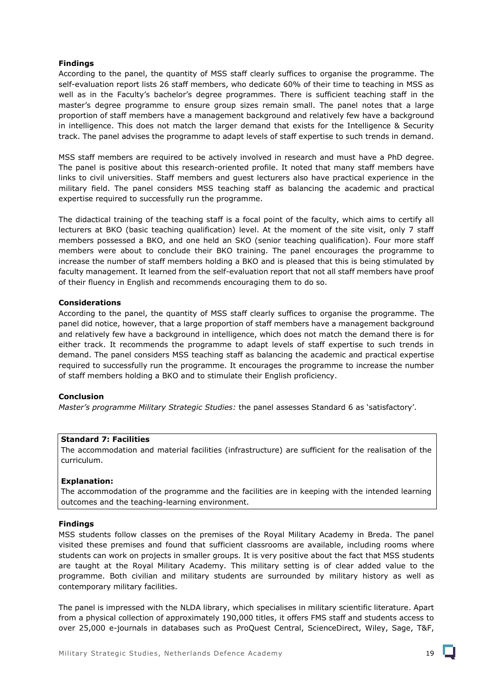## **Findings**

According to the panel, the quantity of MSS staff clearly suffices to organise the programme. The self-evaluation report lists 26 staff members, who dedicate 60% of their time to teaching in MSS as well as in the Faculty's bachelor's degree programmes. There is sufficient teaching staff in the master's degree programme to ensure group sizes remain small. The panel notes that a large proportion of staff members have a management background and relatively few have a background in intelligence. This does not match the larger demand that exists for the Intelligence & Security track. The panel advises the programme to adapt levels of staff expertise to such trends in demand.

MSS staff members are required to be actively involved in research and must have a PhD degree. The panel is positive about this research-oriented profile. It noted that many staff members have links to civil universities. Staff members and guest lecturers also have practical experience in the military field. The panel considers MSS teaching staff as balancing the academic and practical expertise required to successfully run the programme.

The didactical training of the teaching staff is a focal point of the faculty, which aims to certify all lecturers at BKO (basic teaching qualification) level. At the moment of the site visit, only 7 staff members possessed a BKO, and one held an SKO (senior teaching qualification). Four more staff members were about to conclude their BKO training. The panel encourages the programme to increase the number of staff members holding a BKO and is pleased that this is being stimulated by faculty management. It learned from the self-evaluation report that not all staff members have proof of their fluency in English and recommends encouraging them to do so.

#### **Considerations**

According to the panel, the quantity of MSS staff clearly suffices to organise the programme. The panel did notice, however, that a large proportion of staff members have a management background and relatively few have a background in intelligence, which does not match the demand there is for either track. It recommends the programme to adapt levels of staff expertise to such trends in demand. The panel considers MSS teaching staff as balancing the academic and practical expertise required to successfully run the programme. It encourages the programme to increase the number of staff members holding a BKO and to stimulate their English proficiency.

#### **Conclusion**

*Master's programme Military Strategic Studies:* the panel assesses Standard 6 as 'satisfactory'.

## **Standard 7: Facilities**

The accommodation and material facilities (infrastructure) are sufficient for the realisation of the curriculum.

#### **Explanation:**

The accommodation of the programme and the facilities are in keeping with the intended learning outcomes and the teaching-learning environment.

### **Findings**

MSS students follow classes on the premises of the Royal Military Academy in Breda. The panel visited these premises and found that sufficient classrooms are available, including rooms where students can work on projects in smaller groups. It is very positive about the fact that MSS students are taught at the Royal Military Academy. This military setting is of clear added value to the programme. Both civilian and military students are surrounded by military history as well as contemporary military facilities.

The panel is impressed with the NLDA library, which specialises in military scientific literature. Apart from a physical collection of approximately 190,000 titles, it offers FMS staff and students access to over 25,000 e-journals in databases such as ProQuest Central, ScienceDirect, Wiley, Sage, T&F,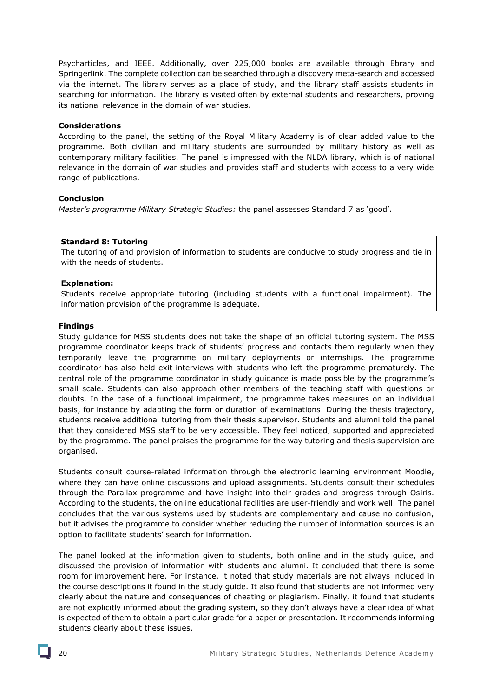Psycharticles, and IEEE. Additionally, over 225,000 books are available through Ebrary and Springerlink. The complete collection can be searched through a discovery meta-search and accessed via the internet. The library serves as a place of study, and the library staff assists students in searching for information. The library is visited often by external students and researchers, proving its national relevance in the domain of war studies.

## **Considerations**

According to the panel, the setting of the Royal Military Academy is of clear added value to the programme. Both civilian and military students are surrounded by military history as well as contemporary military facilities. The panel is impressed with the NLDA library, which is of national relevance in the domain of war studies and provides staff and students with access to a very wide range of publications.

## **Conclusion**

*Master's programme Military Strategic Studies:* the panel assesses Standard 7 as 'good'.

## **Standard 8: Tutoring**

The tutoring of and provision of information to students are conducive to study progress and tie in with the needs of students.

## **Explanation:**

Students receive appropriate tutoring (including students with a functional impairment). The information provision of the programme is adequate.

## **Findings**

Study guidance for MSS students does not take the shape of an official tutoring system. The MSS programme coordinator keeps track of students' progress and contacts them regularly when they temporarily leave the programme on military deployments or internships. The programme coordinator has also held exit interviews with students who left the programme prematurely. The central role of the programme coordinator in study guidance is made possible by the programme's small scale. Students can also approach other members of the teaching staff with questions or doubts. In the case of a functional impairment, the programme takes measures on an individual basis, for instance by adapting the form or duration of examinations. During the thesis trajectory, students receive additional tutoring from their thesis supervisor. Students and alumni told the panel that they considered MSS staff to be very accessible. They feel noticed, supported and appreciated by the programme. The panel praises the programme for the way tutoring and thesis supervision are organised.

Students consult course-related information through the electronic learning environment Moodle, where they can have online discussions and upload assignments. Students consult their schedules through the Parallax programme and have insight into their grades and progress through Osiris. According to the students, the online educational facilities are user-friendly and work well. The panel concludes that the various systems used by students are complementary and cause no confusion, but it advises the programme to consider whether reducing the number of information sources is an option to facilitate students' search for information.

The panel looked at the information given to students, both online and in the study guide, and discussed the provision of information with students and alumni. It concluded that there is some room for improvement here. For instance, it noted that study materials are not always included in the course descriptions it found in the study guide. It also found that students are not informed very clearly about the nature and consequences of cheating or plagiarism. Finally, it found that students are not explicitly informed about the grading system, so they don't always have a clear idea of what is expected of them to obtain a particular grade for a paper or presentation. It recommends informing students clearly about these issues.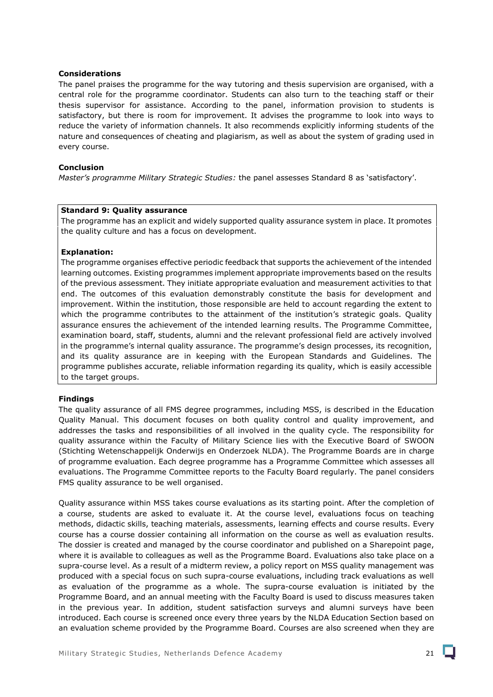#### **Considerations**

The panel praises the programme for the way tutoring and thesis supervision are organised, with a central role for the programme coordinator. Students can also turn to the teaching staff or their thesis supervisor for assistance. According to the panel, information provision to students is satisfactory, but there is room for improvement. It advises the programme to look into ways to reduce the variety of information channels. It also recommends explicitly informing students of the nature and consequences of cheating and plagiarism, as well as about the system of grading used in every course.

### **Conclusion**

*Master's programme Military Strategic Studies:* the panel assesses Standard 8 as 'satisfactory'.

#### **Standard 9: Quality assurance**

The programme has an explicit and widely supported quality assurance system in place. It promotes the quality culture and has a focus on development.

## **Explanation:**

The programme organises effective periodic feedback that supports the achievement of the intended learning outcomes. Existing programmes implement appropriate improvements based on the results of the previous assessment. They initiate appropriate evaluation and measurement activities to that end. The outcomes of this evaluation demonstrably constitute the basis for development and improvement. Within the institution, those responsible are held to account regarding the extent to which the programme contributes to the attainment of the institution's strategic goals. Quality assurance ensures the achievement of the intended learning results. The Programme Committee, examination board, staff, students, alumni and the relevant professional field are actively involved in the programme's internal quality assurance. The programme's design processes, its recognition, and its quality assurance are in keeping with the European Standards and Guidelines. The programme publishes accurate, reliable information regarding its quality, which is easily accessible to the target groups.

#### **Findings**

The quality assurance of all FMS degree programmes, including MSS, is described in the Education Quality Manual. This document focuses on both quality control and quality improvement, and addresses the tasks and responsibilities of all involved in the quality cycle. The responsibility for quality assurance within the Faculty of Military Science lies with the Executive Board of SWOON (Stichting Wetenschappelijk Onderwijs en Onderzoek NLDA). The Programme Boards are in charge of programme evaluation. Each degree programme has a Programme Committee which assesses all evaluations. The Programme Committee reports to the Faculty Board regularly. The panel considers FMS quality assurance to be well organised.

Quality assurance within MSS takes course evaluations as its starting point. After the completion of a course, students are asked to evaluate it. At the course level, evaluations focus on teaching methods, didactic skills, teaching materials, assessments, learning effects and course results. Every course has a course dossier containing all information on the course as well as evaluation results. The dossier is created and managed by the course coordinator and published on a Sharepoint page, where it is available to colleagues as well as the Programme Board. Evaluations also take place on a supra-course level. As a result of a midterm review, a policy report on MSS quality management was produced with a special focus on such supra-course evaluations, including track evaluations as well as evaluation of the programme as a whole. The supra-course evaluation is initiated by the Programme Board, and an annual meeting with the Faculty Board is used to discuss measures taken in the previous year. In addition, student satisfaction surveys and alumni surveys have been introduced. Each course is screened once every three years by the NLDA Education Section based on an evaluation scheme provided by the Programme Board. Courses are also screened when they are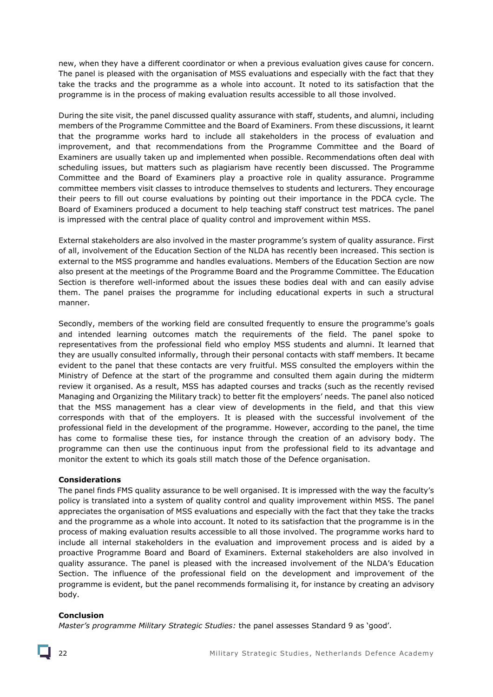new, when they have a different coordinator or when a previous evaluation gives cause for concern. The panel is pleased with the organisation of MSS evaluations and especially with the fact that they take the tracks and the programme as a whole into account. It noted to its satisfaction that the programme is in the process of making evaluation results accessible to all those involved.

During the site visit, the panel discussed quality assurance with staff, students, and alumni, including members of the Programme Committee and the Board of Examiners. From these discussions, it learnt that the programme works hard to include all stakeholders in the process of evaluation and improvement, and that recommendations from the Programme Committee and the Board of Examiners are usually taken up and implemented when possible. Recommendations often deal with scheduling issues, but matters such as plagiarism have recently been discussed. The Programme Committee and the Board of Examiners play a proactive role in quality assurance. Programme committee members visit classes to introduce themselves to students and lecturers. They encourage their peers to fill out course evaluations by pointing out their importance in the PDCA cycle. The Board of Examiners produced a document to help teaching staff construct test matrices. The panel is impressed with the central place of quality control and improvement within MSS.

External stakeholders are also involved in the master programme's system of quality assurance. First of all, involvement of the Education Section of the NLDA has recently been increased. This section is external to the MSS programme and handles evaluations. Members of the Education Section are now also present at the meetings of the Programme Board and the Programme Committee. The Education Section is therefore well-informed about the issues these bodies deal with and can easily advise them. The panel praises the programme for including educational experts in such a structural manner.

Secondly, members of the working field are consulted frequently to ensure the programme's goals and intended learning outcomes match the requirements of the field. The panel spoke to representatives from the professional field who employ MSS students and alumni. It learned that they are usually consulted informally, through their personal contacts with staff members. It became evident to the panel that these contacts are very fruitful. MSS consulted the employers within the Ministry of Defence at the start of the programme and consulted them again during the midterm review it organised. As a result, MSS has adapted courses and tracks (such as the recently revised Managing and Organizing the Military track) to better fit the employers' needs. The panel also noticed that the MSS management has a clear view of developments in the field, and that this view corresponds with that of the employers. It is pleased with the successful involvement of the professional field in the development of the programme. However, according to the panel, the time has come to formalise these ties, for instance through the creation of an advisory body. The programme can then use the continuous input from the professional field to its advantage and monitor the extent to which its goals still match those of the Defence organisation.

## **Considerations**

The panel finds FMS quality assurance to be well organised. It is impressed with the way the faculty's policy is translated into a system of quality control and quality improvement within MSS. The panel appreciates the organisation of MSS evaluations and especially with the fact that they take the tracks and the programme as a whole into account. It noted to its satisfaction that the programme is in the process of making evaluation results accessible to all those involved. The programme works hard to include all internal stakeholders in the evaluation and improvement process and is aided by a proactive Programme Board and Board of Examiners. External stakeholders are also involved in quality assurance. The panel is pleased with the increased involvement of the NLDA's Education Section. The influence of the professional field on the development and improvement of the programme is evident, but the panel recommends formalising it, for instance by creating an advisory body.

## **Conclusion**

*Master's programme Military Strategic Studies:* the panel assesses Standard 9 as 'good'.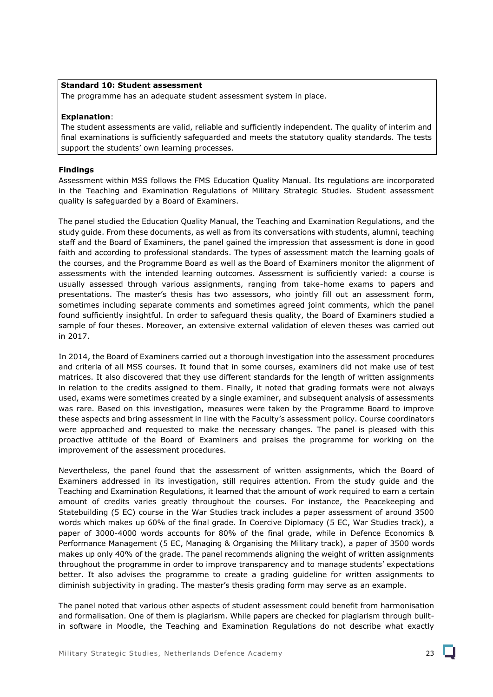## **Standard 10: Student assessment**

The programme has an adequate student assessment system in place.

#### **Explanation**:

The student assessments are valid, reliable and sufficiently independent. The quality of interim and final examinations is sufficiently safeguarded and meets the statutory quality standards. The tests support the students' own learning processes.

#### **Findings**

Assessment within MSS follows the FMS Education Quality Manual. Its regulations are incorporated in the Teaching and Examination Regulations of Military Strategic Studies. Student assessment quality is safeguarded by a Board of Examiners.

The panel studied the Education Quality Manual, the Teaching and Examination Regulations, and the study guide. From these documents, as well as from its conversations with students, alumni, teaching staff and the Board of Examiners, the panel gained the impression that assessment is done in good faith and according to professional standards. The types of assessment match the learning goals of the courses, and the Programme Board as well as the Board of Examiners monitor the alignment of assessments with the intended learning outcomes. Assessment is sufficiently varied: a course is usually assessed through various assignments, ranging from take-home exams to papers and presentations. The master's thesis has two assessors, who jointly fill out an assessment form, sometimes including separate comments and sometimes agreed joint comments, which the panel found sufficiently insightful. In order to safeguard thesis quality, the Board of Examiners studied a sample of four theses. Moreover, an extensive external validation of eleven theses was carried out in 2017.

In 2014, the Board of Examiners carried out a thorough investigation into the assessment procedures and criteria of all MSS courses. It found that in some courses, examiners did not make use of test matrices. It also discovered that they use different standards for the length of written assignments in relation to the credits assigned to them. Finally, it noted that grading formats were not always used, exams were sometimes created by a single examiner, and subsequent analysis of assessments was rare. Based on this investigation, measures were taken by the Programme Board to improve these aspects and bring assessment in line with the Faculty's assessment policy. Course coordinators were approached and requested to make the necessary changes. The panel is pleased with this proactive attitude of the Board of Examiners and praises the programme for working on the improvement of the assessment procedures.

Nevertheless, the panel found that the assessment of written assignments, which the Board of Examiners addressed in its investigation, still requires attention. From the study guide and the Teaching and Examination Regulations, it learned that the amount of work required to earn a certain amount of credits varies greatly throughout the courses. For instance, the Peacekeeping and Statebuilding (5 EC) course in the War Studies track includes a paper assessment of around 3500 words which makes up 60% of the final grade. In Coercive Diplomacy (5 EC, War Studies track), a paper of 3000-4000 words accounts for 80% of the final grade, while in Defence Economics & Performance Management (5 EC, Managing & Organising the Military track), a paper of 3500 words makes up only 40% of the grade. The panel recommends aligning the weight of written assignments throughout the programme in order to improve transparency and to manage students' expectations better. It also advises the programme to create a grading guideline for written assignments to diminish subjectivity in grading. The master's thesis grading form may serve as an example.

The panel noted that various other aspects of student assessment could benefit from harmonisation and formalisation. One of them is plagiarism. While papers are checked for plagiarism through builtin software in Moodle, the Teaching and Examination Regulations do not describe what exactly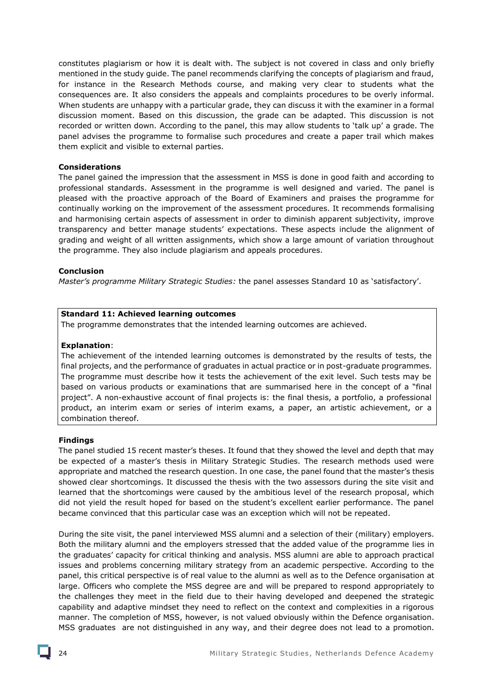constitutes plagiarism or how it is dealt with. The subject is not covered in class and only briefly mentioned in the study guide. The panel recommends clarifying the concepts of plagiarism and fraud, for instance in the Research Methods course, and making very clear to students what the consequences are. It also considers the appeals and complaints procedures to be overly informal. When students are unhappy with a particular grade, they can discuss it with the examiner in a formal discussion moment. Based on this discussion, the grade can be adapted. This discussion is not recorded or written down. According to the panel, this may allow students to 'talk up' a grade. The panel advises the programme to formalise such procedures and create a paper trail which makes them explicit and visible to external parties.

## **Considerations**

The panel gained the impression that the assessment in MSS is done in good faith and according to professional standards. Assessment in the programme is well designed and varied. The panel is pleased with the proactive approach of the Board of Examiners and praises the programme for continually working on the improvement of the assessment procedures. It recommends formalising and harmonising certain aspects of assessment in order to diminish apparent subjectivity, improve transparency and better manage students' expectations. These aspects include the alignment of grading and weight of all written assignments, which show a large amount of variation throughout the programme. They also include plagiarism and appeals procedures.

#### **Conclusion**

*Master's programme Military Strategic Studies:* the panel assesses Standard 10 as 'satisfactory'.

## **Standard 11: Achieved learning outcomes**

The programme demonstrates that the intended learning outcomes are achieved.

#### **Explanation**:

The achievement of the intended learning outcomes is demonstrated by the results of tests, the final projects, and the performance of graduates in actual practice or in post-graduate programmes. The programme must describe how it tests the achievement of the exit level. Such tests may be based on various products or examinations that are summarised here in the concept of a "final project". A non-exhaustive account of final projects is: the final thesis, a portfolio, a professional product, an interim exam or series of interim exams, a paper, an artistic achievement, or a combination thereof.

#### **Findings**

The panel studied 15 recent master's theses. It found that they showed the level and depth that may be expected of a master's thesis in Military Strategic Studies. The research methods used were appropriate and matched the research question. In one case, the panel found that the master's thesis showed clear shortcomings. It discussed the thesis with the two assessors during the site visit and learned that the shortcomings were caused by the ambitious level of the research proposal, which did not yield the result hoped for based on the student's excellent earlier performance. The panel became convinced that this particular case was an exception which will not be repeated.

During the site visit, the panel interviewed MSS alumni and a selection of their (military) employers. Both the military alumni and the employers stressed that the added value of the programme lies in the graduates' capacity for critical thinking and analysis. MSS alumni are able to approach practical issues and problems concerning military strategy from an academic perspective. According to the panel, this critical perspective is of real value to the alumni as well as to the Defence organisation at large. Officers who complete the MSS degree are and will be prepared to respond appropriately to the challenges they meet in the field due to their having developed and deepened the strategic capability and adaptive mindset they need to reflect on the context and complexities in a rigorous manner. The completion of MSS, however, is not valued obviously within the Defence organisation. MSS graduates are not distinguished in any way, and their degree does not lead to a promotion.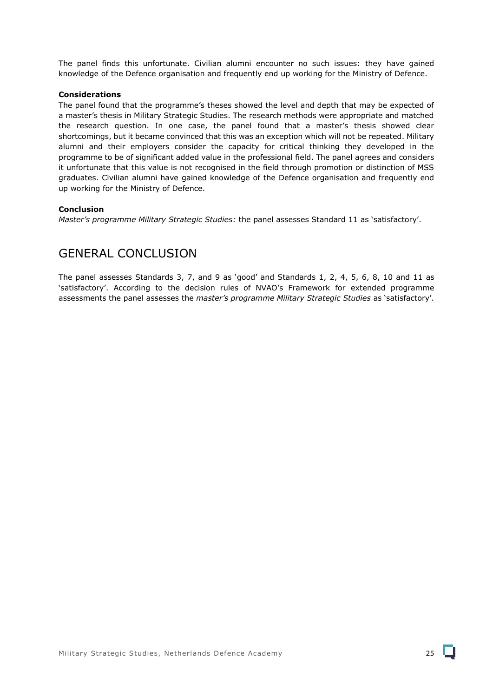The panel finds this unfortunate. Civilian alumni encounter no such issues: they have gained knowledge of the Defence organisation and frequently end up working for the Ministry of Defence.

## **Considerations**

The panel found that the programme's theses showed the level and depth that may be expected of a master's thesis in Military Strategic Studies. The research methods were appropriate and matched the research question. In one case, the panel found that a master's thesis showed clear shortcomings, but it became convinced that this was an exception which will not be repeated. Military alumni and their employers consider the capacity for critical thinking they developed in the programme to be of significant added value in the professional field. The panel agrees and considers it unfortunate that this value is not recognised in the field through promotion or distinction of MSS graduates. Civilian alumni have gained knowledge of the Defence organisation and frequently end up working for the Ministry of Defence.

## **Conclusion**

*Master's programme Military Strategic Studies:* the panel assesses Standard 11 as 'satisfactory'.

## GENERAL CONCLUSION

The panel assesses Standards 3, 7, and 9 as 'good' and Standards 1, 2, 4, 5, 6, 8, 10 and 11 as 'satisfactory'. According to the decision rules of NVAO's Framework for extended programme assessments the panel assesses the *master's programme Military Strategic Studies* as 'satisfactory'.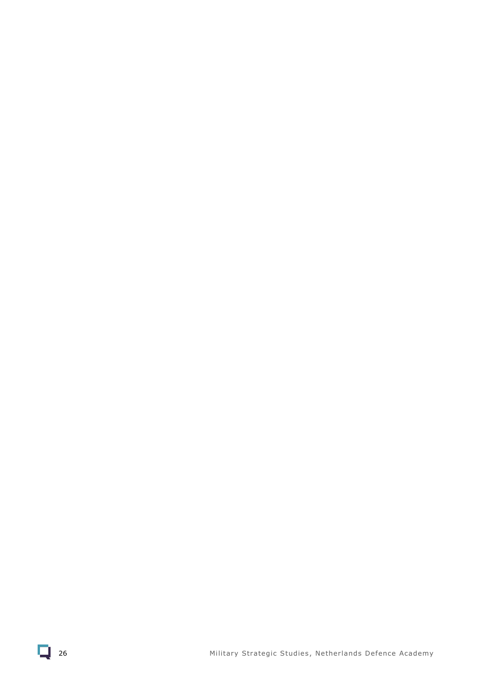<span id="page-25-0"></span>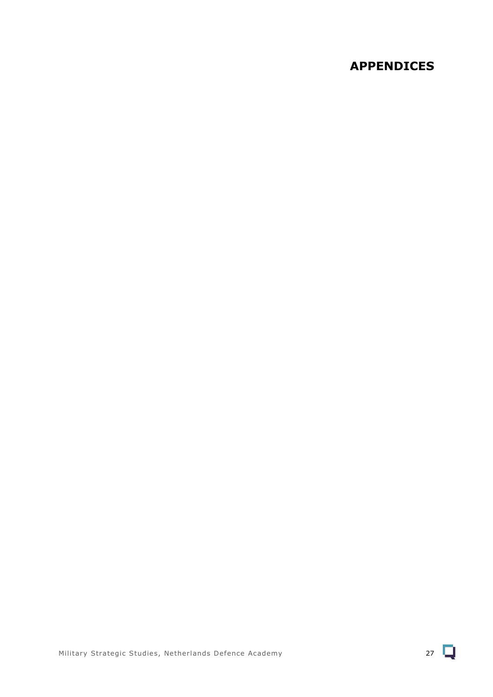## **APPENDICES**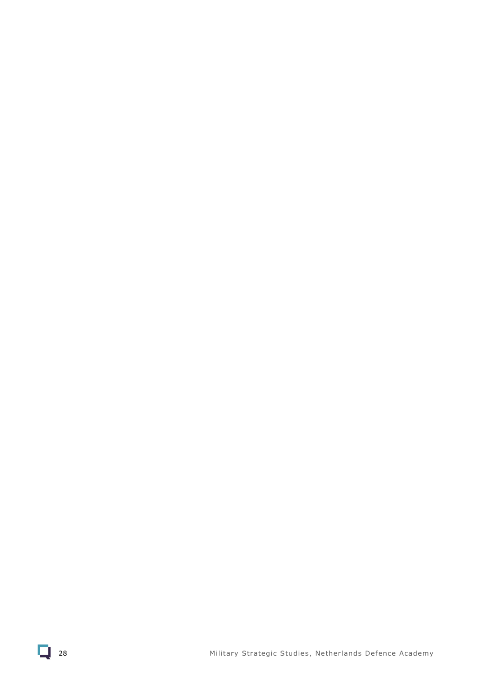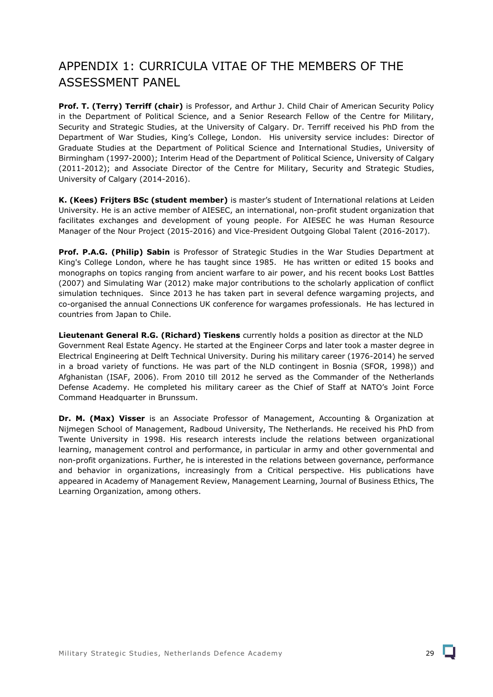## <span id="page-28-0"></span>APPENDIX 1: CURRICULA VITAE OF THE MEMBERS OF THE ASSESSMENT PANEL

**Prof. T. (Terry) Terriff (chair)** is Professor, and Arthur J. Child Chair of American Security Policy in the Department of Political Science, and a Senior Research Fellow of the Centre for Military, Security and Strategic Studies, at the University of Calgary. Dr. Terriff received his PhD from the Department of War Studies, King's College, London. His university service includes: Director of Graduate Studies at the Department of Political Science and International Studies, University of Birmingham (1997-2000); Interim Head of the Department of Political Science, University of Calgary (2011-2012); and Associate Director of the Centre for Military, Security and Strategic Studies, University of Calgary (2014-2016).

**K. (Kees) Frijters BSc (student member)** is master's student of International relations at Leiden University. He is an active member of AIESEC, an international, non-profit student organization that facilitates exchanges and development of young people. For AIESEC he was Human Resource Manager of the Nour Project (2015-2016) and Vice-President Outgoing Global Talent (2016-2017).

**Prof. P.A.G. (Philip) Sabin** is Professor of Strategic Studies in the War Studies Department at King's College London, where he has taught since 1985. He has written or edited 15 books and monographs on topics ranging from ancient warfare to air power, and his recent books Lost Battles (2007) and Simulating War (2012) make major contributions to the scholarly application of conflict simulation techniques. Since 2013 he has taken part in several defence wargaming projects, and co-organised the annual Connections UK conference for wargames professionals. He has lectured in countries from Japan to Chile.

**Lieutenant General R.G. (Richard) Tieskens** currently holds a position as director at the NLD Government Real Estate Agency. He started at the Engineer Corps and later took a master degree in Electrical Engineering at Delft Technical University. During his military career (1976-2014) he served in a broad variety of functions. He was part of the NLD contingent in Bosnia (SFOR, 1998)) and Afghanistan (ISAF, 2006). From 2010 till 2012 he served as the Commander of the Netherlands Defense Academy. He completed his military career as the Chief of Staff at NATO's Joint Force Command Headquarter in Brunssum.

**Dr. M. (Max) Visser** is an Associate Professor of Management, Accounting & Organization at Nijmegen School of Management, Radboud University, The Netherlands. He received his PhD from Twente University in 1998. His research interests include the relations between organizational learning, management control and performance, in particular in army and other governmental and non-profit organizations. Further, he is interested in the relations between governance, performance and behavior in organizations, increasingly from a Critical perspective. His publications have appeared in Academy of Management Review, Management Learning, Journal of Business Ethics, The Learning Organization, among others.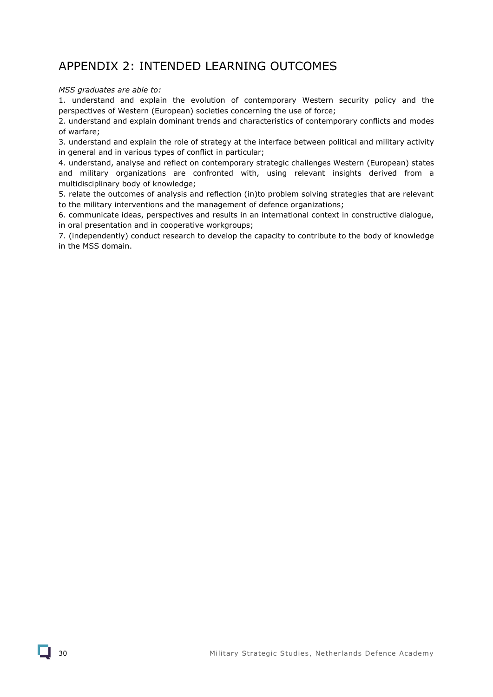## <span id="page-29-1"></span><span id="page-29-0"></span>APPENDIX 2: INTENDED LEARNING OUTCOMES

## *MSS graduates are able to:*

1. understand and explain the evolution of contemporary Western security policy and the perspectives of Western (European) societies concerning the use of force;

2. understand and explain dominant trends and characteristics of contemporary conflicts and modes of warfare;

3. understand and explain the role of strategy at the interface between political and military activity in general and in various types of conflict in particular;

4. understand, analyse and reflect on contemporary strategic challenges Western (European) states and military organizations are confronted with, using relevant insights derived from a multidisciplinary body of knowledge;

5. relate the outcomes of analysis and reflection (in)to problem solving strategies that are relevant to the military interventions and the management of defence organizations;

6. communicate ideas, perspectives and results in an international context in constructive dialogue, in oral presentation and in cooperative workgroups;

7. (independently) conduct research to develop the capacity to contribute to the body of knowledge in the MSS domain.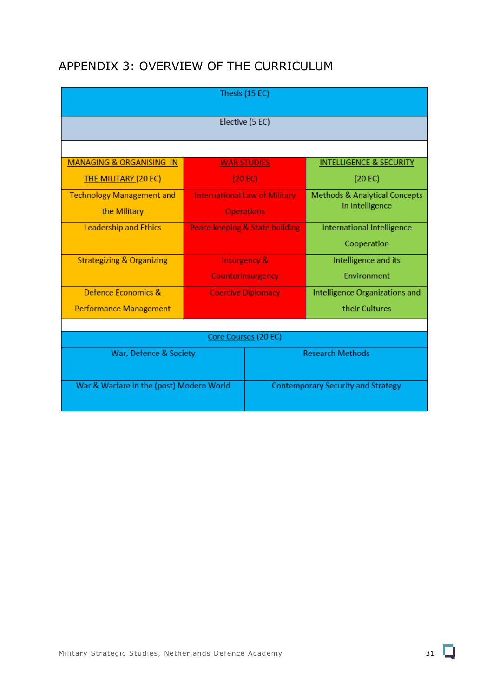## <span id="page-30-0"></span>APPENDIX 3: OVERVIEW OF THE CURRICULUM

| Thesis (15 EC)                           |                                      |                                           |                                          |  |  |
|------------------------------------------|--------------------------------------|-------------------------------------------|------------------------------------------|--|--|
| Elective (5 EC)                          |                                      |                                           |                                          |  |  |
|                                          |                                      |                                           |                                          |  |  |
| <b>MANAGING &amp; ORGANISING IN</b>      | <b>WAR STUDIES</b>                   |                                           | <b>INTELLIGENCE &amp; SECURITY</b>       |  |  |
| <b>THE MILITARY (20 EC)</b>              |                                      | (20 EC)                                   | (20 E)                                   |  |  |
| <b>Technology Management and</b>         | <b>International Law of Military</b> |                                           | <b>Methods &amp; Analytical Concepts</b> |  |  |
| the Military                             | <b>Operations</b>                    |                                           | in Intelligence                          |  |  |
| <b>Leadership and Ethics</b>             | Peace keeping & State building       |                                           | International Intelligence               |  |  |
|                                          |                                      |                                           | Cooperation                              |  |  |
| <b>Strategizing &amp; Organizing</b>     | <b>Insurgency &amp;</b>              |                                           | Intelligence and its                     |  |  |
|                                          | Counterinsurgency                    |                                           | <b>Fnvironment</b>                       |  |  |
| Defence Economics &                      | <b>Coercive Diplomacy</b>            |                                           | Intelligence Organizations and           |  |  |
| <b>Performance Management</b>            |                                      |                                           | their Cultures                           |  |  |
|                                          |                                      |                                           |                                          |  |  |
| Core Courses (20 EC)                     |                                      |                                           |                                          |  |  |
| War, Defence & Society                   |                                      | <b>Research Methods</b>                   |                                          |  |  |
|                                          |                                      |                                           |                                          |  |  |
| War & Warfare in the (post) Modern World |                                      | <b>Contemporary Security and Strategy</b> |                                          |  |  |
|                                          |                                      |                                           |                                          |  |  |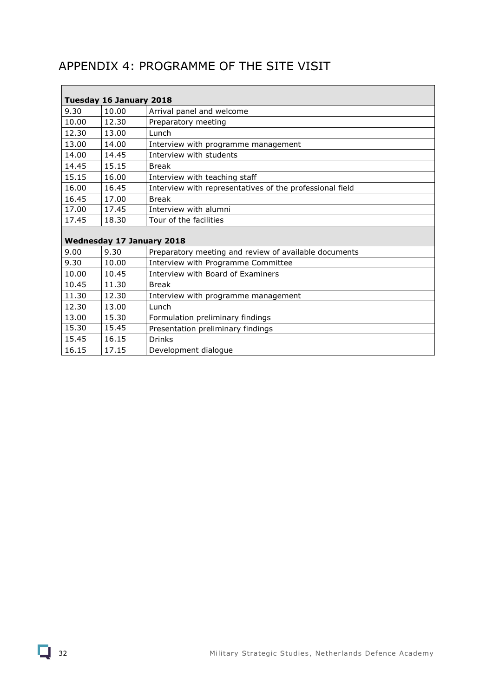## <span id="page-31-0"></span>APPENDIX 4: PROGRAMME OF THE SITE VISIT

| Tuesday 16 January 2018          |       |                                                          |  |  |  |
|----------------------------------|-------|----------------------------------------------------------|--|--|--|
| 9.30                             | 10.00 | Arrival panel and welcome                                |  |  |  |
| 10.00                            | 12.30 | Preparatory meeting                                      |  |  |  |
| 12.30                            | 13.00 | Lunch                                                    |  |  |  |
| 13.00                            | 14.00 | Interview with programme management                      |  |  |  |
| 14.00                            | 14.45 | Interview with students                                  |  |  |  |
| 14.45                            | 15.15 | <b>Break</b>                                             |  |  |  |
| 15.15                            | 16.00 | Interview with teaching staff                            |  |  |  |
| 16.00                            | 16.45 | Interview with representatives of the professional field |  |  |  |
| 16.45                            | 17.00 | <b>Break</b>                                             |  |  |  |
| 17.00                            | 17.45 | Interview with alumni                                    |  |  |  |
| 17.45                            | 18.30 | Tour of the facilities                                   |  |  |  |
|                                  |       |                                                          |  |  |  |
| <b>Wednesday 17 January 2018</b> |       |                                                          |  |  |  |
| 9.00                             | 9.30  | Preparatory meeting and review of available documents    |  |  |  |
| 9.30                             | 10.00 | Interview with Programme Committee                       |  |  |  |
| 10.00                            | 10.45 | Interview with Board of Examiners                        |  |  |  |
| 10.45                            | 11.30 | <b>Break</b>                                             |  |  |  |
| 11.30                            | 12.30 | Interview with programme management                      |  |  |  |
| 12.30                            | 13.00 | Lunch                                                    |  |  |  |
| 13.00                            | 15.30 | Formulation preliminary findings                         |  |  |  |
| 15.30                            | 15.45 | Presentation preliminary findings                        |  |  |  |
| 15.45                            | 16.15 | <b>Drinks</b>                                            |  |  |  |
| 16.15                            | 17.15 | Development dialogue                                     |  |  |  |